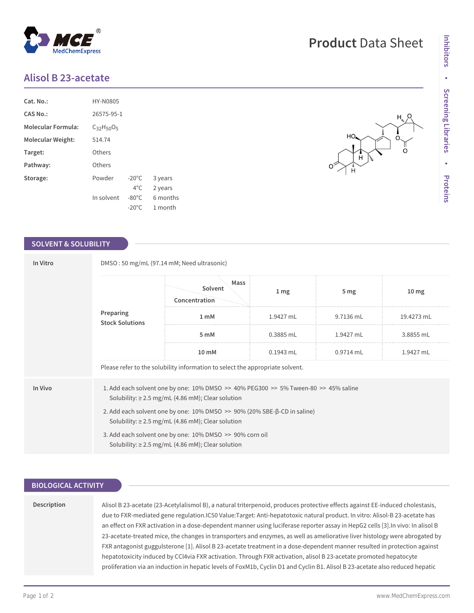# **Alisol B 23-acetate**

| Cat. No.:                 | HY-N0805          |                 |          |  |  |
|---------------------------|-------------------|-----------------|----------|--|--|
| CAS No.:                  | 26575-95-1        |                 |          |  |  |
| <b>Molecular Formula:</b> | $C_{32}H_{50}O_5$ |                 |          |  |  |
| Molecular Weight:         | 514.74            |                 |          |  |  |
| Target:                   | Others            |                 |          |  |  |
| Pathway:                  | Others            |                 |          |  |  |
| Storage:                  | Powder            | $-20^{\circ}$ C | 3 years  |  |  |
|                           |                   | $4^{\circ}$ C.  | 2 years  |  |  |
|                           | In solvent        | $-80^{\circ}$ C | 6 months |  |  |
|                           |                   | $-20^{\circ}$ C | 1 month  |  |  |

#### **SOLVENT & SOLUBILITY**

| In Vitro | DMSO: 50 mg/mL (97.14 mM; Need ultrasonic)                                                                                                        |                                  |                 |                 |                  |  |  |
|----------|---------------------------------------------------------------------------------------------------------------------------------------------------|----------------------------------|-----------------|-----------------|------------------|--|--|
|          | Preparing<br><b>Stock Solutions</b>                                                                                                               | Mass<br>Solvent<br>Concentration | 1 <sub>mg</sub> | 5 <sub>mg</sub> | 10 <sub>mg</sub> |  |  |
|          |                                                                                                                                                   | 1 <sub>m</sub> M                 | 1.9427 mL       | 9.7136 mL       | 19.4273 mL       |  |  |
|          |                                                                                                                                                   | 5 mM                             | $0.3885$ mL     | 1.9427 mL       | 3.8855 mL        |  |  |
|          |                                                                                                                                                   | 10 mM                            | $0.1943$ mL     | $0.9714$ mL     | 1.9427 mL        |  |  |
|          | Please refer to the solubility information to select the appropriate solvent.                                                                     |                                  |                 |                 |                  |  |  |
| In Vivo  | 1. Add each solvent one by one: 10% DMSO >> 40% PEG300 >> 5% Tween-80 >> 45% saline<br>Solubility: $\geq 2.5$ mg/mL (4.86 mM); Clear solution     |                                  |                 |                 |                  |  |  |
|          | 2. Add each solvent one by one: $10\%$ DMSO $\geq$ 90% (20% SBE- $\beta$ -CD in saline)<br>Solubility: $\geq 2.5$ mg/mL (4.86 mM); Clear solution |                                  |                 |                 |                  |  |  |
|          | 3. Add each solvent one by one: 10% DMSO >> 90% corn oil<br>Solubility: $\geq 2.5$ mg/mL (4.86 mM); Clear solution                                |                                  |                 |                 |                  |  |  |

### **BIOLOGICAL ACTIVITY**

#### **Description**

Alisol B 23-acetate (23-Acetylalismol B), a natural triterpenoid, produces protective effects against EE-induced cholestasis, due to FXR-mediated gene regulation.IC50 Value:Target: Anti-hepatotoxic natural product. In vitro: Alisol-B 23-acetate has an effect on FXR activation in a dose-dependent manner using luciferase reporter assay in HepG2 cells [3].In vivo: In alisol B 23-acetate-treated mice, the changes in transporters and enzymes, as well as ameliorative liver histology were abrogated by FXR antagonist guggulsterone [1]. Alisol B 23-acetate treatment in a dose-dependent manner resulted in protection against hepatotoxicity induced by CCl4via FXR activation. Through FXR activation, alisol B 23-acetate promoted hepatocyte proliferation via an induction in hepatic levels of FoxM1b, Cyclin D1 and Cyclin B1. Alisol B 23-acetate also reduced hepatic





**Product** Data Sheet